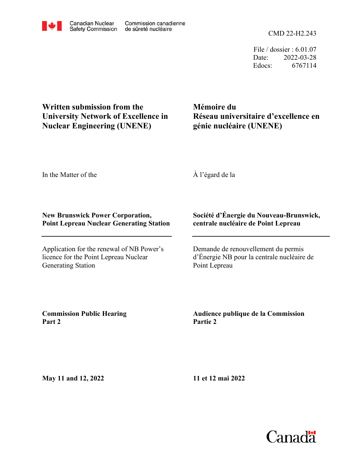File / dossier : 6.01.07 Date: 2022-03-28 Edocs: 6767114

**Written submission from the University Network of Excellence in Nuclear Engineering (UNENE)**

**Mémoire du Réseau universitaire d'excellence en génie nucléaire (UNENE)**

In the Matter of the

À l'égard de la

## **New Brunswick Power Corporation, Point Lepreau Nuclear Generating Station**

Application for the renewal of NB Power's licence for the Point Lepreau Nuclear Generating Station

## **Société d'Énergie du Nouveau-Brunswick, centrale nucléaire de Point Lepreau**

Demande de renouvellement du permis d'Énergie NB pour la centrale nucléaire de Point Lepreau

**Commission Public Hearing Part 2**

**Audience publique de la Commission Partie 2**

**May 11 and 12, 2022**

**11 et 12 mai 2022**

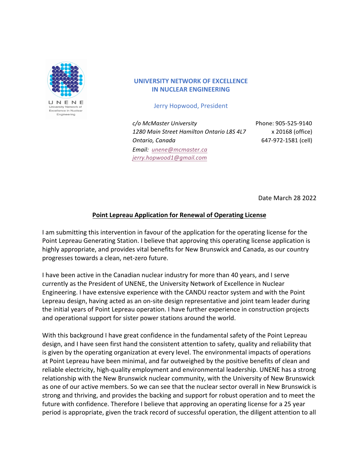

Engineering

**UNIVERSITY NETWORK OF EXCELLENCE IN NUCLEAR ENGINEERING** 

Jerry Hopwood, President

*c/o McMaster University* Phone: 905-525-9140 1280 Main Street Hamilton Ontario L8S 4L7 x 20168 (office) *Ontario, Canada* 647-972-1581 (cell) *Email: unene@mcmaster.ca jerry.hopwood1@gmail.com*

Date March 28 2022

## **Point Lepreau Application for Renewal of Operating License**

I am submitting this intervention in favour of the application for the operating license for the Point Lepreau Generating Station. I believe that approving this operating license application is highly appropriate, and provides vital benefits for New Brunswick and Canada, as our country progresses towards a clean, net-zero future.

I have been active in the Canadian nuclear industry for more than 40 years, and I serve currently as the President of UNENE, the University Network of Excellence in Nuclear Engineering. I have extensive experience with the CANDU reactor system and with the Point Lepreau design, having acted as an on-site design representative and joint team leader during the initial years of Point Lepreau operation. I have further experience in construction projects and operational support for sister power stations around the world.

With this background I have great confidence in the fundamental safety of the Point Lepreau design, and I have seen first hand the consistent attention to safety, quality and reliability that is given by the operating organization at every level. The environmental impacts of operations at Point Lepreau have been minimal, and far outweighed by the positive benefits of clean and reliable electricity, high-quality employment and environmental leadership. UNENE has a strong relationship with the New Brunswick nuclear community, with the University of New Brunswick as one of our active members. So we can see that the nuclear sector overall in New Brunswick is strong and thriving, and provides the backing and support for robust operation and to meet the future with confidence. Therefore I believe that approving an operating license for a 25 year period is appropriate, given the track record of successful operation, the diligent attention to all